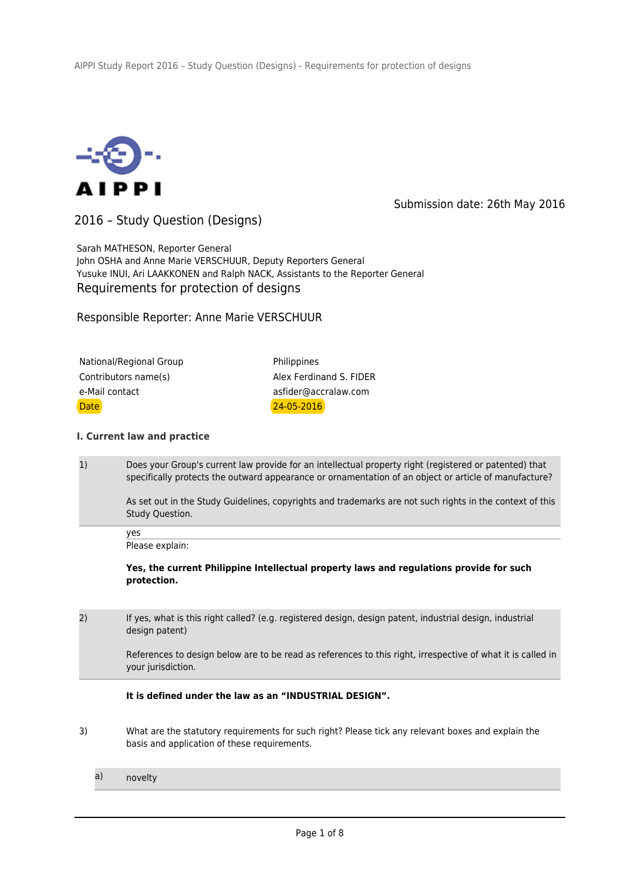

Submission date: 26th May 2016

2016 – Study Question (Designs)

Sarah MATHESON, Reporter General John OSHA and Anne Marie VERSCHUUR, Deputy Reporters General Yusuke INUI, Ari LAAKKONEN and Ralph NACK, Assistants to the Reporter General Requirements for protection of designs

Responsible Reporter: Anne Marie VERSCHUUR

| National/Regional Group | Philippines             |  |
|-------------------------|-------------------------|--|
| Contributors name(s)    | Alex Ferdinand S. FIDER |  |
| e-Mail contact          | asfider@accralaw.com    |  |
| <b>Date</b>             | $24 - 05 - 2016$        |  |

## **I. Current law and practice**

1) Does your Group's current law provide for an intellectual property right (registered or patented) that specifically protects the outward appearance or ornamentation of an object or article of manufacture?

As set out in the Study Guidelines, copyrights and trademarks are not such rights in the context of this Study Question.

yes Please explain:

**Yes, the current Philippine Intellectual property laws and regulations provide for such protection.** 

2) If yes, what is this right called? (e.g. registered design, design patent, industrial design, industrial design patent)

> References to design below are to be read as references to this right, irrespective of what it is called in your jurisdiction.

**It is defined under the law as an "INDUSTRIAL DESIGN".**

- 3) What are the statutory requirements for such right? Please tick any relevant boxes and explain the basis and application of these requirements.
	- a) novelty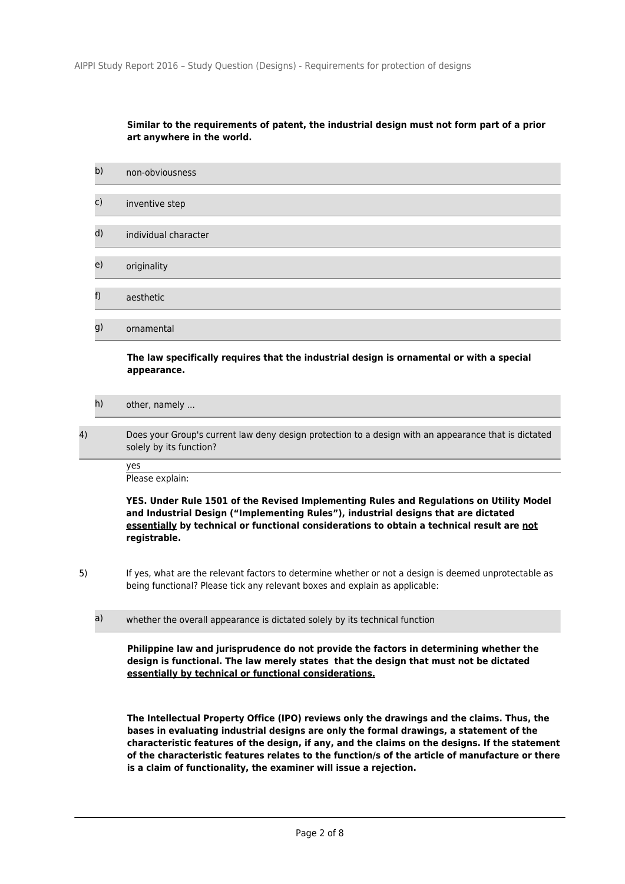# **Similar to the requirements of patent, the industrial design must not form part of a prior art anywhere in the world.**

| b) | non-obviousness      |
|----|----------------------|
| c) | inventive step       |
| d) | individual character |
| e) | originality          |
| f) | aesthetic            |
| g) | ornamental           |

## **The law specifically requires that the industrial design is ornamental or with a special appearance.**

- h) other, namely ...
- 4) Does your Group's current law deny design protection to a design with an appearance that is dictated solely by its function?

yes

Please explain:

**YES. Under Rule 1501 of the Revised Implementing Rules and Regulations on Utility Model and Industrial Design ("Implementing Rules"), industrial designs that are dictated essentially by technical or functional considerations to obtain a technical result are not registrable.** 

- 5) If yes, what are the relevant factors to determine whether or not a design is deemed unprotectable as being functional? Please tick any relevant boxes and explain as applicable:
	- a) whether the overall appearance is dictated solely by its technical function

**Philippine law and jurisprudence do not provide the factors in determining whether the design is functional. The law merely states that the design that must not be dictated essentially by technical or functional considerations.**

**The Intellectual Property Office (IPO) reviews only the drawings and the claims. Thus, the bases in evaluating industrial designs are only the formal drawings, a statement of the characteristic features of the design, if any, and the claims on the designs. If the statement of the characteristic features relates to the function/s of the article of manufacture or there is a claim of functionality, the examiner will issue a rejection.**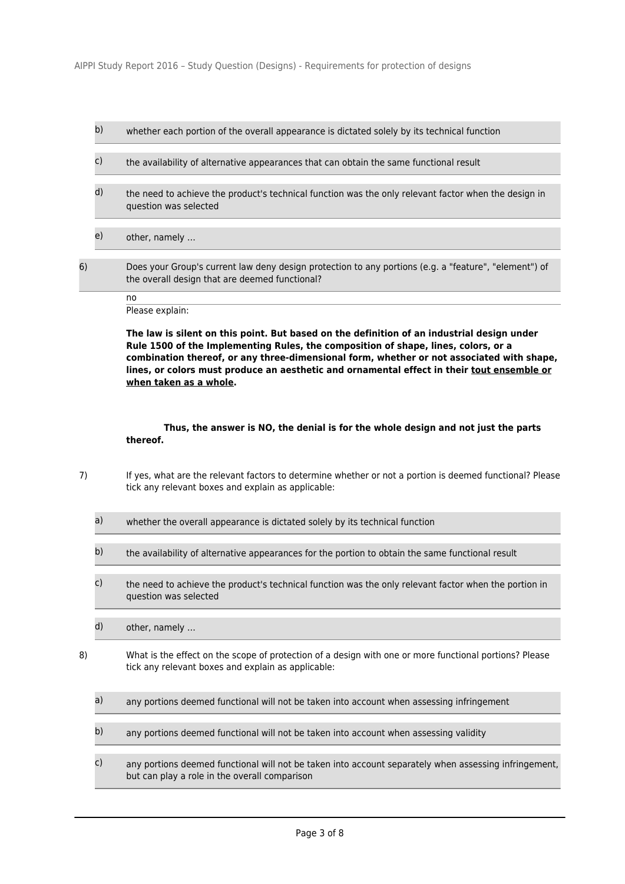- b) whether each portion of the overall appearance is dictated solely by its technical function
- c) the availability of alternative appearances that can obtain the same functional result
- d) the need to achieve the product's technical function was the only relevant factor when the design in question was selected
- e) other, namely …
- 6) Does your Group's current law deny design protection to any portions (e.g. a "feature", "element") of the overall design that are deemed functional?
	- no
	- Please explain:

**The law is silent on this point. But based on the definition of an industrial design under Rule 1500 of the Implementing Rules, the composition of shape, lines, colors, or a combination thereof, or any three-dimensional form, whether or not associated with shape, lines, or colors must produce an aesthetic and ornamental effect in their tout ensemble or when taken as a whole.**

 **Thus, the answer is NO, the denial is for the whole design and not just the parts thereof.**

- 7) If yes, what are the relevant factors to determine whether or not a portion is deemed functional? Please tick any relevant boxes and explain as applicable:
	- a) whether the overall appearance is dictated solely by its technical function
	- b) the availability of alternative appearances for the portion to obtain the same functional result
	- c) the need to achieve the product's technical function was the only relevant factor when the portion in question was selected
	- d) other, namely …
- 8) What is the effect on the scope of protection of a design with one or more functional portions? Please tick any relevant boxes and explain as applicable:
	- a) any portions deemed functional will not be taken into account when assessing infringement
	- b) any portions deemed functional will not be taken into account when assessing validity
	- c) any portions deemed functional will not be taken into account separately when assessing infringement, but can play a role in the overall comparison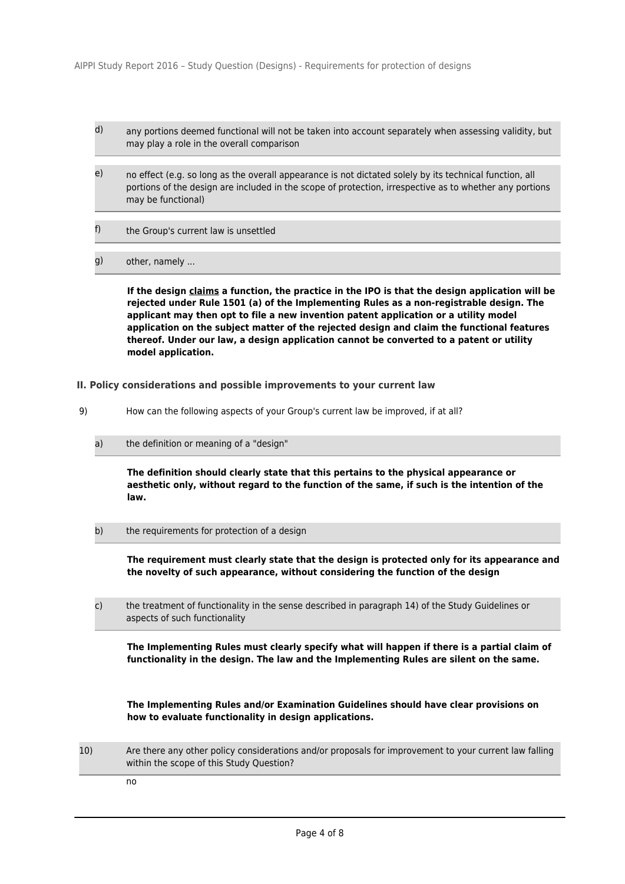- d) any portions deemed functional will not be taken into account separately when assessing validity, but may play a role in the overall comparison
- e) no effect (e.g. so long as the overall appearance is not dictated solely by its technical function, all portions of the design are included in the scope of protection, irrespective as to whether any portions may be functional)
- f) the Group's current law is unsettled
- g) other, namely ...

**If the design claims a function, the practice in the IPO is that the design application will be rejected under Rule 1501 (a) of the Implementing Rules as a non-registrable design. The applicant may then opt to file a new invention patent application or a utility model application on the subject matter of the rejected design and claim the functional features thereof. Under our law, a design application cannot be converted to a patent or utility model application.**

### **II. Policy considerations and possible improvements to your current law**

- 9) How can the following aspects of your Group's current law be improved, if at all?
	- a) the definition or meaning of a "design"

**The definition should clearly state that this pertains to the physical appearance or aesthetic only, without regard to the function of the same, if such is the intention of the law.** 

b) the requirements for protection of a design

**The requirement must clearly state that the design is protected only for its appearance and the novelty of such appearance, without considering the function of the design**

c) the treatment of functionality in the sense described in paragraph 14) of the Study Guidelines or aspects of such functionality

**The Implementing Rules must clearly specify what will happen if there is a partial claim of functionality in the design. The law and the Implementing Rules are silent on the same.**

**The Implementing Rules and/or Examination Guidelines should have clear provisions on how to evaluate functionality in design applications.**

10) Are there any other policy considerations and/or proposals for improvement to your current law falling within the scope of this Study Question?

no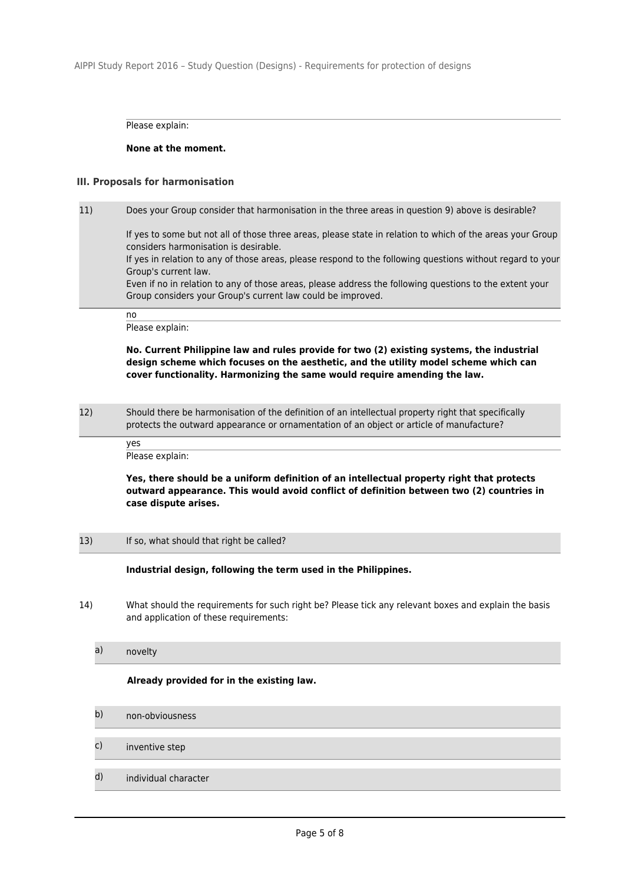Please explain:

### **None at the moment.**

# **III. Proposals for harmonisation**

11) Does your Group consider that harmonisation in the three areas in question 9) above is desirable? If yes to some but not all of those three areas, please state in relation to which of the areas your Group considers harmonisation is desirable. If yes in relation to any of those areas, please respond to the following questions without regard to your Group's current law.

Even if no in relation to any of those areas, please address the following questions to the extent your Group considers your Group's current law could be improved.

no Please explain:

**No. Current Philippine law and rules provide for two (2) existing systems, the industrial design scheme which focuses on the aesthetic, and the utility model scheme which can cover functionality. Harmonizing the same would require amending the law.**

12) Should there be harmonisation of the definition of an intellectual property right that specifically protects the outward appearance or ornamentation of an object or article of manufacture?

> yes Please explain:

**Yes, there should be a uniform definition of an intellectual property right that protects outward appearance. This would avoid conflict of definition between two (2) countries in case dispute arises.**

13) If so, what should that right be called?

**Industrial design, following the term used in the Philippines.** 

14) What should the requirements for such right be? Please tick any relevant boxes and explain the basis and application of these requirements:

a) novelty

**Already provided for in the existing law.** 

- b) non-obviousness
- c) inventive step
- d) individual character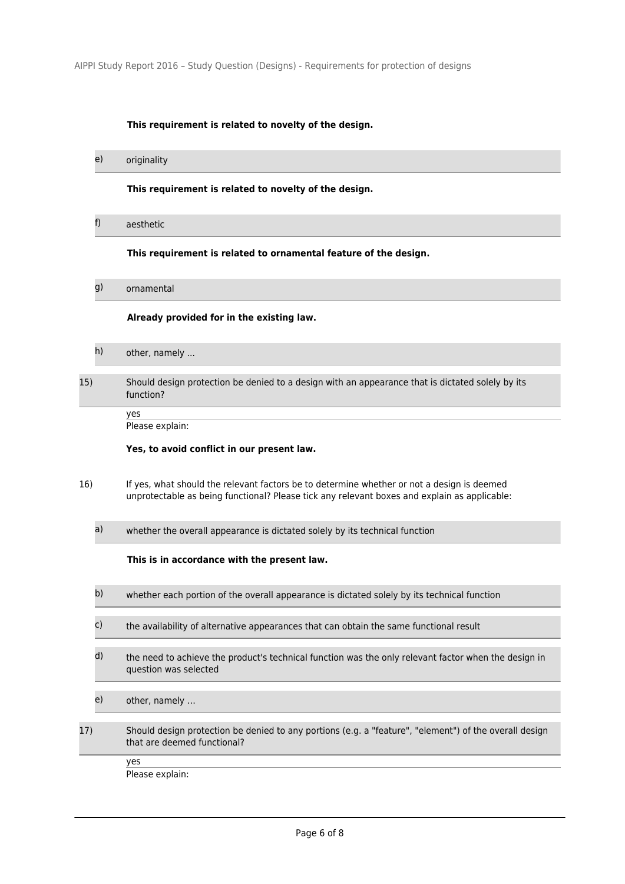# **This requirement is related to novelty of the design.**

e) originality

**This requirement is related to novelty of the design.**

f) aesthetic

#### **This requirement is related to ornamental feature of the design.**

g) ornamental

#### **Already provided for in the existing law.**

| h) | other, namely |  |
|----|---------------|--|
|----|---------------|--|

# 15) Should design protection be denied to a design with an appearance that is dictated solely by its function?

yes

Please explain:

## **Yes, to avoid conflict in our present law.**

- 16) If yes, what should the relevant factors be to determine whether or not a design is deemed unprotectable as being functional? Please tick any relevant boxes and explain as applicable:
	- a) whether the overall appearance is dictated solely by its technical function

### **This is in accordance with the present law.**

- b) whether each portion of the overall appearance is dictated solely by its technical function
- c) the availability of alternative appearances that can obtain the same functional result
- d) the need to achieve the product's technical function was the only relevant factor when the design in question was selected
- e) other, namely …
- 17) Should design protection be denied to any portions (e.g. a "feature", "element") of the overall design that are deemed functional?

yes

Please explain: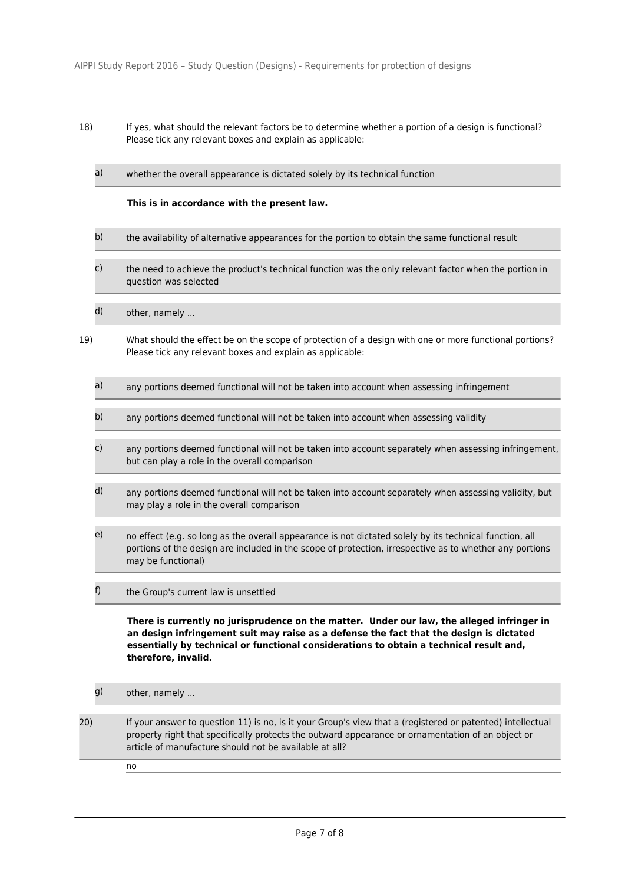- 18) If yes, what should the relevant factors be to determine whether a portion of a design is functional? Please tick any relevant boxes and explain as applicable:
	- a) whether the overall appearance is dictated solely by its technical function

### **This is in accordance with the present law.**

- b) the availability of alternative appearances for the portion to obtain the same functional result
- c) the need to achieve the product's technical function was the only relevant factor when the portion in question was selected
- d) other, namely ...
- 19) What should the effect be on the scope of protection of a design with one or more functional portions? Please tick any relevant boxes and explain as applicable:
	- a) any portions deemed functional will not be taken into account when assessing infringement
	- b) any portions deemed functional will not be taken into account when assessing validity
	- c) any portions deemed functional will not be taken into account separately when assessing infringement, but can play a role in the overall comparison
	- d) any portions deemed functional will not be taken into account separately when assessing validity, but may play a role in the overall comparison
	- e) no effect (e.g. so long as the overall appearance is not dictated solely by its technical function, all portions of the design are included in the scope of protection, irrespective as to whether any portions may be functional)
	- f) the Group's current law is unsettled

**There is currently no jurisprudence on the matter. Under our law, the alleged infringer in an design infringement suit may raise as a defense the fact that the design is dictated essentially by technical or functional considerations to obtain a technical result and, therefore, invalid.** 

- g) other, namely ...
- 20) If your answer to question 11) is no, is it your Group's view that a (registered or patented) intellectual property right that specifically protects the outward appearance or ornamentation of an object or article of manufacture should not be available at all?
	- no